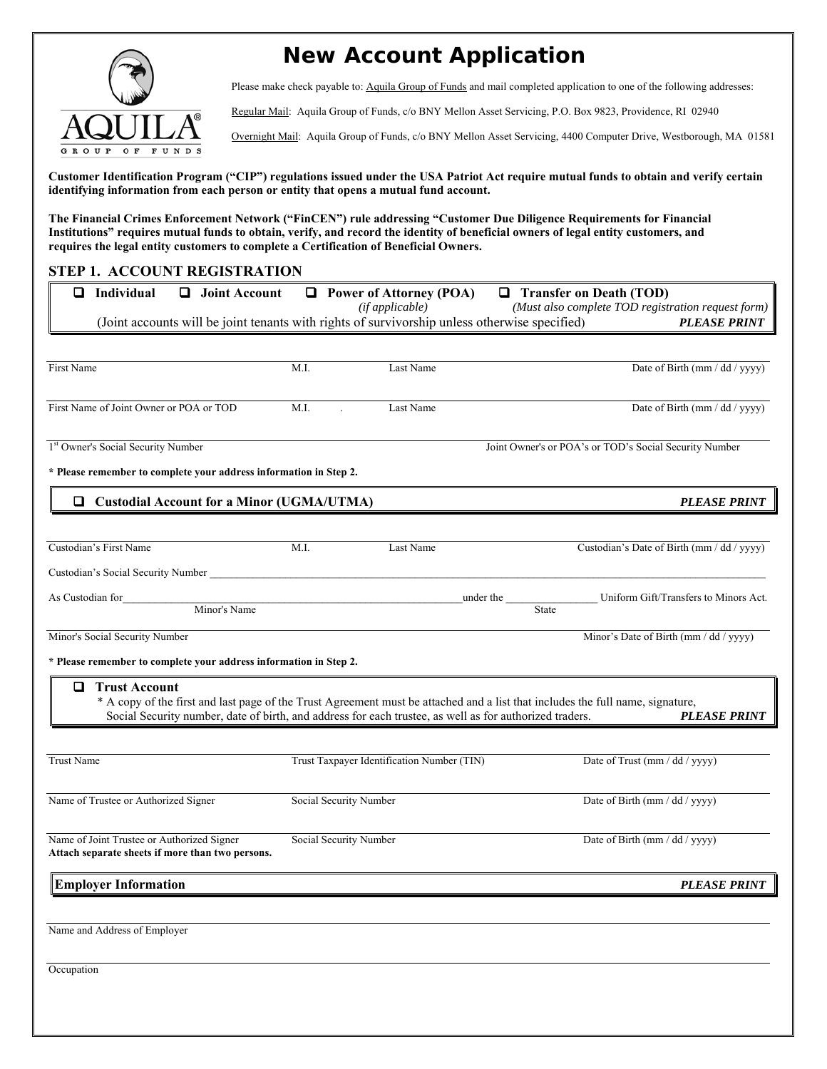

# **New Account Application**

Please make check payable to: Aquila Group of Funds and mail completed application to one of the following addresses:

Regular Mail: Aquila Group of Funds, c/o BNY Mellon Asset Servicing, P.O. Box 9823, Providence, RI 02940

Overnight Mail: Aquila Group of Funds, c/o BNY Mellon Asset Servicing, 4400 Computer Drive, Westborough, MA 01581

**Customer Identification Program ("CIP") regulations issued under the USA Patriot Act require mutual funds to obtain and verify certain identifying information from each person or entity that opens a mutual fund account.** 

**The Financial Crimes Enforcement Network ("FinCEN") rule addressing "Customer Due Diligence Requirements for Financial Institutions" requires mutual funds to obtain, verify, and record the identity of beneficial owners of legal entity customers, and requires the legal entity customers to complete a Certification of Beneficial Owners.** 

# **STEP 1. ACCOUNT REGISTRATION**

| Individual<br>$\Box$<br>❏<br><b>Joint Account</b><br>(Joint accounts will be joint tenants with rights of survivorship unless otherwise specified)                                                                                                                     |                        | $\Box$ Power of Attorney (POA)<br>(if applicable) |           | <b>Transfer on Death (TOD)</b><br>(Must also complete TOD registration request form) | <b>PLEASE PRINT</b> |
|------------------------------------------------------------------------------------------------------------------------------------------------------------------------------------------------------------------------------------------------------------------------|------------------------|---------------------------------------------------|-----------|--------------------------------------------------------------------------------------|---------------------|
|                                                                                                                                                                                                                                                                        |                        |                                                   |           |                                                                                      |                     |
| First Name                                                                                                                                                                                                                                                             | M.I.                   | Last Name                                         |           | Date of Birth (mm / dd / yyyy)                                                       |                     |
| First Name of Joint Owner or POA or TOD                                                                                                                                                                                                                                | M.I.                   | Last Name                                         |           | Date of Birth (mm / dd / yyyy)                                                       |                     |
| <sup>1st</sup> Owner's Social Security Number                                                                                                                                                                                                                          |                        |                                                   |           | Joint Owner's or POA's or TOD's Social Security Number                               |                     |
| * Please remember to complete your address information in Step 2.                                                                                                                                                                                                      |                        |                                                   |           |                                                                                      |                     |
| □ Custodial Account for a Minor (UGMA/UTMA)                                                                                                                                                                                                                            |                        |                                                   |           |                                                                                      | <b>PLEASE PRINT</b> |
| Custodian's First Name                                                                                                                                                                                                                                                 | M.I.                   | Last Name                                         |           | Custodian's Date of Birth (mm / dd / yyyy)                                           |                     |
| As Custodian for<br>Minor's Name                                                                                                                                                                                                                                       |                        |                                                   | under the | Uniform Gift/Transfers to Minors Act.<br>State                                       |                     |
| Minor's Social Security Number                                                                                                                                                                                                                                         |                        |                                                   |           | Minor's Date of Birth (mm / dd / yyyy)                                               |                     |
| * Please remember to complete your address information in Step 2.                                                                                                                                                                                                      |                        |                                                   |           |                                                                                      |                     |
| 0<br><b>Trust Account</b><br>* A copy of the first and last page of the Trust Agreement must be attached and a list that includes the full name, signature,<br>Social Security number, date of birth, and address for each trustee, as well as for authorized traders. |                        |                                                   |           |                                                                                      | <b>PLEASE PRINT</b> |
| Trust Name                                                                                                                                                                                                                                                             |                        | Trust Taxpayer Identification Number (TIN)        |           | Date of Trust (mm / dd / yyyy)                                                       |                     |
| Name of Trustee or Authorized Signer                                                                                                                                                                                                                                   | Social Security Number |                                                   |           | Date of Birth (mm / dd / yyyy)                                                       |                     |
| Name of Joint Trustee or Authorized Signer<br>Attach separate sheets if more than two persons.                                                                                                                                                                         | Social Security Number |                                                   |           | Date of Birth (mm / dd / yyyy)                                                       |                     |
| <b>Employer Information</b>                                                                                                                                                                                                                                            |                        |                                                   |           |                                                                                      | <b>PLEASE PRINT</b> |
| Name and Address of Employer                                                                                                                                                                                                                                           |                        |                                                   |           |                                                                                      |                     |
| Occupation                                                                                                                                                                                                                                                             |                        |                                                   |           |                                                                                      |                     |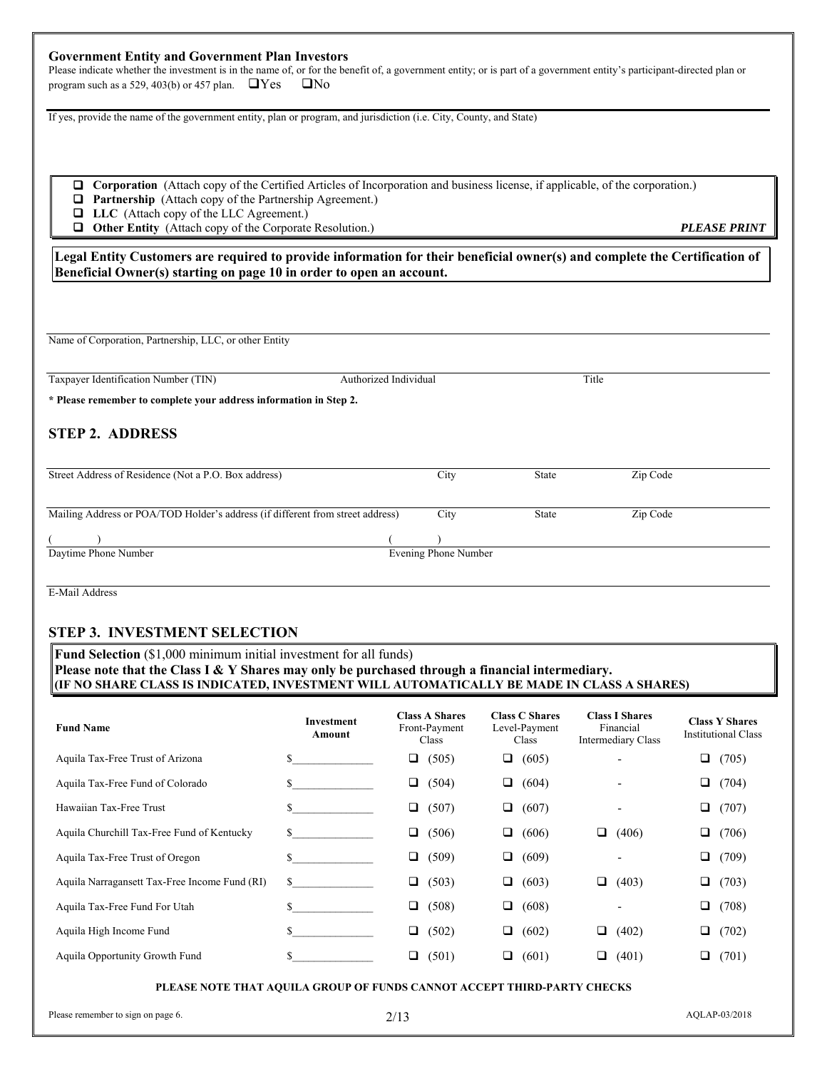#### **Government Entity and Government Plan Investors**

Please indicate whether the investment is in the name of, or for the benefit of, a government entity; or is part of a government entity's participant-directed plan or program such as a 529, 403(b) or 457 plan.  $\Box$  Yes  $\Box$  No

If yes, provide the name of the government entity, plan or program, and jurisdiction (i.e. City, County, and State)

- **Corporation** (Attach copy of the Certified Articles of Incorporation and business license, if applicable, of the corporation.)
- **Partnership** (Attach copy of the Partnership Agreement.)
- **LLC** (Attach copy of the LLC Agreement.)
- **Other Entity** (Attach copy of the Corporate Resolution.) *PLEASE PRINT*

**Legal Entity Customers are required to provide information for their beneficial owner(s) and complete the Certification of Beneficial Owner(s) starting on page 10 in order to open an account.** 

Name of Corporation, Partnership, LLC, or other Entity

Taxpayer Identification Number (TIN) Authorized Individual Title **\* Please remember to complete your address information in Step 2. STEP 2. ADDRESS** Street Address of Residence (Not a P.O. Box address) City State Zip Code Mailing Address or POA/TOD Holder's address (if different from street address) City State Zip Code  $($  ) ( ) Daytime Phone Number Evening Phone Number

E-Mail Address

### **STEP 3. INVESTMENT SELECTION**

**Fund Selection** (\$1,000 minimum initial investment for all funds) **Please note that the Class I & Y Shares may only be purchased through a financial intermediary. (IF NO SHARE CLASS IS INDICATED, INVESTMENT WILL AUTOMATICALLY BE MADE IN CLASS A SHARES)** 

| <b>Fund Name</b>                              | Investment<br>Amount | <b>Class A Shares</b><br>Front-Payment<br>Class | <b>Class C Shares</b><br>Level-Payment<br>Class | <b>Class I Shares</b><br>Financial<br><b>Intermediary Class</b> | <b>Class Y Shares</b><br><b>Institutional Class</b> |
|-----------------------------------------------|----------------------|-------------------------------------------------|-------------------------------------------------|-----------------------------------------------------------------|-----------------------------------------------------|
| Aquila Tax-Free Trust of Arizona              |                      | (505)<br>⊔                                      | (605)<br>❏                                      |                                                                 | (705)<br>□                                          |
| Aquila Tax-Free Fund of Colorado              |                      | (504)<br>❏                                      | (604)<br>□                                      | $\overline{\phantom{a}}$                                        | (704)<br>□                                          |
| Hawaiian Tax-Free Trust                       | S.                   | (507)<br>□                                      | (607)<br>□                                      |                                                                 | (707)<br>□                                          |
| Aquila Churchill Tax-Free Fund of Kentucky    | S.                   | (506)<br>⊔                                      | (606)<br>❏                                      | (406)<br>⊔                                                      | $\Box$<br>(706)                                     |
| Aquila Tax-Free Trust of Oregon               |                      | (509)<br>□                                      | (609)<br>Q                                      |                                                                 | (709)<br>□                                          |
| Aquila Narragansett Tax-Free Income Fund (RI) | S.                   | (503)<br>□                                      | (603)<br>❏                                      | (403)<br>⊔                                                      | $\Box$<br>(703)                                     |
| Aquila Tax-Free Fund For Utah                 | S.                   | $\Box$<br>(508)                                 | (608)<br>❏                                      |                                                                 | ❏<br>(708)                                          |
| Aquila High Income Fund                       | S.                   | □<br>(502)                                      | (602)<br>❏                                      | (402)<br>⊔                                                      | ❏<br>(702)                                          |
| Aquila Opportunity Growth Fund                |                      | (501)<br>⊔                                      | (601)<br>Q.                                     | (401)<br>⊔                                                      | $\Box$<br>(701)                                     |

#### **PLEASE NOTE THAT AQUILA GROUP OF FUNDS CANNOT ACCEPT THIRD-PARTY CHECKS**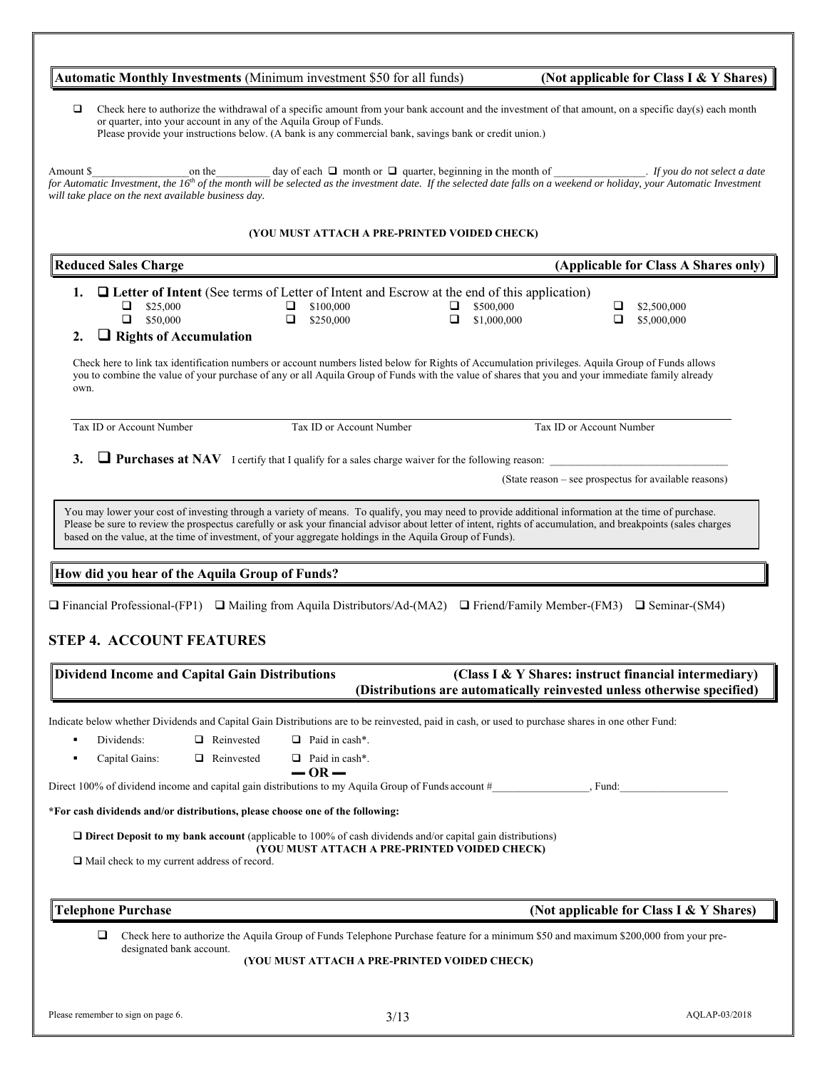| Check here to authorize the withdrawal of a specific amount from your bank account and the investment of that amount, on a specific day(s) each month<br>□<br>or quarter, into your account in any of the Aquila Group of Funds.<br>Please provide your instructions below. (A bank is any commercial bank, savings bank or credit union.)<br>on the<br>(YOU MUST ATTACH A PRE-PRINTED VOIDED CHECK)<br><b>Reduced Sales Charge</b><br>(Applicable for Class A Shares only)<br><b>Q</b> Letter of Intent (See terms of Letter of Intent and Escrow at the end of this application)<br>1.<br>$\Box$ \$25,000<br>\$100,000<br>\$500,000<br>□<br>⊔<br>⊔<br>\$2,500,000<br>$\Box$ \$50,000<br>$\Box$<br>$\Box$<br>\$1,000,000<br>\$250,000<br>◻<br>\$5,000,000<br>$\Box$ Rights of Accumulation<br>2.<br>Check here to link tax identification numbers or account numbers listed below for Rights of Accumulation privileges. Aquila Group of Funds allows<br>you to combine the value of your purchase of any or all Aquila Group of Funds with the value of shares that you and your immediate family already<br>own.<br>Tax ID or Account Number<br>Tax ID or Account Number<br>Tax ID or Account Number<br>$\Box$ Purchases at NAV I certify that I qualify for a sales charge waiver for the following reason:<br>3.<br>(State reason – see prospectus for available reasons)<br>You may lower your cost of investing through a variety of means. To qualify, you may need to provide additional information at the time of purchase.<br>Please be sure to review the prospectus carefully or ask your financial advisor about letter of intent, rights of accumulation, and breakpoints (sales charges<br>based on the value, at the time of investment, of your aggregate holdings in the Aquila Group of Funds).<br>How did you hear of the Aquila Group of Funds?<br><b>Dividend Income and Capital Gain Distributions</b><br>(Class I & Y Shares: instruct financial intermediary)<br>(Distributions are automatically reinvested unless otherwise specified)<br>Reinvested<br>$\Box$ Paid in cash*.<br>Dividends:<br>$\Box$ Paid in cash*.<br>Capital Gains:<br>Reinvested<br>$-$ OR $-$<br>. Fund:<br>$\Box$ Direct Deposit to my bank account (applicable to 100% of cash dividends and/or capital gain distributions)<br>(YOU MUST ATTACH A PRE-PRINTED VOIDED CHECK)<br>$\Box$ Mail check to my current address of record. |  | Automatic Monthly Investments (Minimum investment \$50 for all funds) |  | (Not applicable for Class I & Y Shares) |
|---------------------------------------------------------------------------------------------------------------------------------------------------------------------------------------------------------------------------------------------------------------------------------------------------------------------------------------------------------------------------------------------------------------------------------------------------------------------------------------------------------------------------------------------------------------------------------------------------------------------------------------------------------------------------------------------------------------------------------------------------------------------------------------------------------------------------------------------------------------------------------------------------------------------------------------------------------------------------------------------------------------------------------------------------------------------------------------------------------------------------------------------------------------------------------------------------------------------------------------------------------------------------------------------------------------------------------------------------------------------------------------------------------------------------------------------------------------------------------------------------------------------------------------------------------------------------------------------------------------------------------------------------------------------------------------------------------------------------------------------------------------------------------------------------------------------------------------------------------------------------------------------------------------------------------------------------------------------------------------------------------------------------------------------------------------------------------------------------------------------------------------------------------------------------------------------------------------------------------------------------------------------------------------------------------------------------------------------------------------------------------------------------------------------------------------|--|-----------------------------------------------------------------------|--|-----------------------------------------|
| Amount \$<br>for Automatic Investment, the 16 <sup>th</sup> of the month will be selected as the investment date. If the selected date falls on a weekend or holiday, your Automatic Investment<br>will take place on the next available business day.<br>$\Box$ Financial Professional-(FP1) $\Box$ Mailing from Aquila Distributors/Ad-(MA2) $\Box$ Friend/Family Member-(FM3) $\Box$ Seminar-(SM4)<br><b>STEP 4. ACCOUNT FEATURES</b><br>Indicate below whether Dividends and Capital Gain Distributions are to be reinvested, paid in cash, or used to purchase shares in one other Fund:<br>Direct 100% of dividend income and capital gain distributions to my Aquila Group of Funds account #<br>*For cash dividends and/or distributions, please choose one of the following:                                                                                                                                                                                                                                                                                                                                                                                                                                                                                                                                                                                                                                                                                                                                                                                                                                                                                                                                                                                                                                                                                                                                                                                                                                                                                                                                                                                                                                                                                                                                                                                                                                                 |  |                                                                       |  |                                         |
|                                                                                                                                                                                                                                                                                                                                                                                                                                                                                                                                                                                                                                                                                                                                                                                                                                                                                                                                                                                                                                                                                                                                                                                                                                                                                                                                                                                                                                                                                                                                                                                                                                                                                                                                                                                                                                                                                                                                                                                                                                                                                                                                                                                                                                                                                                                                                                                                                                       |  |                                                                       |  |                                         |
|                                                                                                                                                                                                                                                                                                                                                                                                                                                                                                                                                                                                                                                                                                                                                                                                                                                                                                                                                                                                                                                                                                                                                                                                                                                                                                                                                                                                                                                                                                                                                                                                                                                                                                                                                                                                                                                                                                                                                                                                                                                                                                                                                                                                                                                                                                                                                                                                                                       |  |                                                                       |  |                                         |
|                                                                                                                                                                                                                                                                                                                                                                                                                                                                                                                                                                                                                                                                                                                                                                                                                                                                                                                                                                                                                                                                                                                                                                                                                                                                                                                                                                                                                                                                                                                                                                                                                                                                                                                                                                                                                                                                                                                                                                                                                                                                                                                                                                                                                                                                                                                                                                                                                                       |  |                                                                       |  |                                         |
|                                                                                                                                                                                                                                                                                                                                                                                                                                                                                                                                                                                                                                                                                                                                                                                                                                                                                                                                                                                                                                                                                                                                                                                                                                                                                                                                                                                                                                                                                                                                                                                                                                                                                                                                                                                                                                                                                                                                                                                                                                                                                                                                                                                                                                                                                                                                                                                                                                       |  |                                                                       |  |                                         |
|                                                                                                                                                                                                                                                                                                                                                                                                                                                                                                                                                                                                                                                                                                                                                                                                                                                                                                                                                                                                                                                                                                                                                                                                                                                                                                                                                                                                                                                                                                                                                                                                                                                                                                                                                                                                                                                                                                                                                                                                                                                                                                                                                                                                                                                                                                                                                                                                                                       |  |                                                                       |  |                                         |
|                                                                                                                                                                                                                                                                                                                                                                                                                                                                                                                                                                                                                                                                                                                                                                                                                                                                                                                                                                                                                                                                                                                                                                                                                                                                                                                                                                                                                                                                                                                                                                                                                                                                                                                                                                                                                                                                                                                                                                                                                                                                                                                                                                                                                                                                                                                                                                                                                                       |  |                                                                       |  |                                         |
|                                                                                                                                                                                                                                                                                                                                                                                                                                                                                                                                                                                                                                                                                                                                                                                                                                                                                                                                                                                                                                                                                                                                                                                                                                                                                                                                                                                                                                                                                                                                                                                                                                                                                                                                                                                                                                                                                                                                                                                                                                                                                                                                                                                                                                                                                                                                                                                                                                       |  |                                                                       |  |                                         |
|                                                                                                                                                                                                                                                                                                                                                                                                                                                                                                                                                                                                                                                                                                                                                                                                                                                                                                                                                                                                                                                                                                                                                                                                                                                                                                                                                                                                                                                                                                                                                                                                                                                                                                                                                                                                                                                                                                                                                                                                                                                                                                                                                                                                                                                                                                                                                                                                                                       |  |                                                                       |  |                                         |
|                                                                                                                                                                                                                                                                                                                                                                                                                                                                                                                                                                                                                                                                                                                                                                                                                                                                                                                                                                                                                                                                                                                                                                                                                                                                                                                                                                                                                                                                                                                                                                                                                                                                                                                                                                                                                                                                                                                                                                                                                                                                                                                                                                                                                                                                                                                                                                                                                                       |  |                                                                       |  |                                         |
|                                                                                                                                                                                                                                                                                                                                                                                                                                                                                                                                                                                                                                                                                                                                                                                                                                                                                                                                                                                                                                                                                                                                                                                                                                                                                                                                                                                                                                                                                                                                                                                                                                                                                                                                                                                                                                                                                                                                                                                                                                                                                                                                                                                                                                                                                                                                                                                                                                       |  |                                                                       |  |                                         |
|                                                                                                                                                                                                                                                                                                                                                                                                                                                                                                                                                                                                                                                                                                                                                                                                                                                                                                                                                                                                                                                                                                                                                                                                                                                                                                                                                                                                                                                                                                                                                                                                                                                                                                                                                                                                                                                                                                                                                                                                                                                                                                                                                                                                                                                                                                                                                                                                                                       |  |                                                                       |  |                                         |
|                                                                                                                                                                                                                                                                                                                                                                                                                                                                                                                                                                                                                                                                                                                                                                                                                                                                                                                                                                                                                                                                                                                                                                                                                                                                                                                                                                                                                                                                                                                                                                                                                                                                                                                                                                                                                                                                                                                                                                                                                                                                                                                                                                                                                                                                                                                                                                                                                                       |  |                                                                       |  |                                         |
|                                                                                                                                                                                                                                                                                                                                                                                                                                                                                                                                                                                                                                                                                                                                                                                                                                                                                                                                                                                                                                                                                                                                                                                                                                                                                                                                                                                                                                                                                                                                                                                                                                                                                                                                                                                                                                                                                                                                                                                                                                                                                                                                                                                                                                                                                                                                                                                                                                       |  |                                                                       |  |                                         |
|                                                                                                                                                                                                                                                                                                                                                                                                                                                                                                                                                                                                                                                                                                                                                                                                                                                                                                                                                                                                                                                                                                                                                                                                                                                                                                                                                                                                                                                                                                                                                                                                                                                                                                                                                                                                                                                                                                                                                                                                                                                                                                                                                                                                                                                                                                                                                                                                                                       |  |                                                                       |  |                                         |
|                                                                                                                                                                                                                                                                                                                                                                                                                                                                                                                                                                                                                                                                                                                                                                                                                                                                                                                                                                                                                                                                                                                                                                                                                                                                                                                                                                                                                                                                                                                                                                                                                                                                                                                                                                                                                                                                                                                                                                                                                                                                                                                                                                                                                                                                                                                                                                                                                                       |  |                                                                       |  |                                         |
|                                                                                                                                                                                                                                                                                                                                                                                                                                                                                                                                                                                                                                                                                                                                                                                                                                                                                                                                                                                                                                                                                                                                                                                                                                                                                                                                                                                                                                                                                                                                                                                                                                                                                                                                                                                                                                                                                                                                                                                                                                                                                                                                                                                                                                                                                                                                                                                                                                       |  |                                                                       |  |                                         |
|                                                                                                                                                                                                                                                                                                                                                                                                                                                                                                                                                                                                                                                                                                                                                                                                                                                                                                                                                                                                                                                                                                                                                                                                                                                                                                                                                                                                                                                                                                                                                                                                                                                                                                                                                                                                                                                                                                                                                                                                                                                                                                                                                                                                                                                                                                                                                                                                                                       |  |                                                                       |  |                                         |
|                                                                                                                                                                                                                                                                                                                                                                                                                                                                                                                                                                                                                                                                                                                                                                                                                                                                                                                                                                                                                                                                                                                                                                                                                                                                                                                                                                                                                                                                                                                                                                                                                                                                                                                                                                                                                                                                                                                                                                                                                                                                                                                                                                                                                                                                                                                                                                                                                                       |  |                                                                       |  |                                         |
|                                                                                                                                                                                                                                                                                                                                                                                                                                                                                                                                                                                                                                                                                                                                                                                                                                                                                                                                                                                                                                                                                                                                                                                                                                                                                                                                                                                                                                                                                                                                                                                                                                                                                                                                                                                                                                                                                                                                                                                                                                                                                                                                                                                                                                                                                                                                                                                                                                       |  |                                                                       |  |                                         |
|                                                                                                                                                                                                                                                                                                                                                                                                                                                                                                                                                                                                                                                                                                                                                                                                                                                                                                                                                                                                                                                                                                                                                                                                                                                                                                                                                                                                                                                                                                                                                                                                                                                                                                                                                                                                                                                                                                                                                                                                                                                                                                                                                                                                                                                                                                                                                                                                                                       |  |                                                                       |  |                                         |
|                                                                                                                                                                                                                                                                                                                                                                                                                                                                                                                                                                                                                                                                                                                                                                                                                                                                                                                                                                                                                                                                                                                                                                                                                                                                                                                                                                                                                                                                                                                                                                                                                                                                                                                                                                                                                                                                                                                                                                                                                                                                                                                                                                                                                                                                                                                                                                                                                                       |  |                                                                       |  |                                         |
|                                                                                                                                                                                                                                                                                                                                                                                                                                                                                                                                                                                                                                                                                                                                                                                                                                                                                                                                                                                                                                                                                                                                                                                                                                                                                                                                                                                                                                                                                                                                                                                                                                                                                                                                                                                                                                                                                                                                                                                                                                                                                                                                                                                                                                                                                                                                                                                                                                       |  |                                                                       |  |                                         |
| <b>Telephone Purchase</b><br>(Not applicable for Class I & Y Shares)                                                                                                                                                                                                                                                                                                                                                                                                                                                                                                                                                                                                                                                                                                                                                                                                                                                                                                                                                                                                                                                                                                                                                                                                                                                                                                                                                                                                                                                                                                                                                                                                                                                                                                                                                                                                                                                                                                                                                                                                                                                                                                                                                                                                                                                                                                                                                                  |  |                                                                       |  |                                         |

**(YOU MUST ATTACH A PRE-PRINTED VOIDED CHECK)**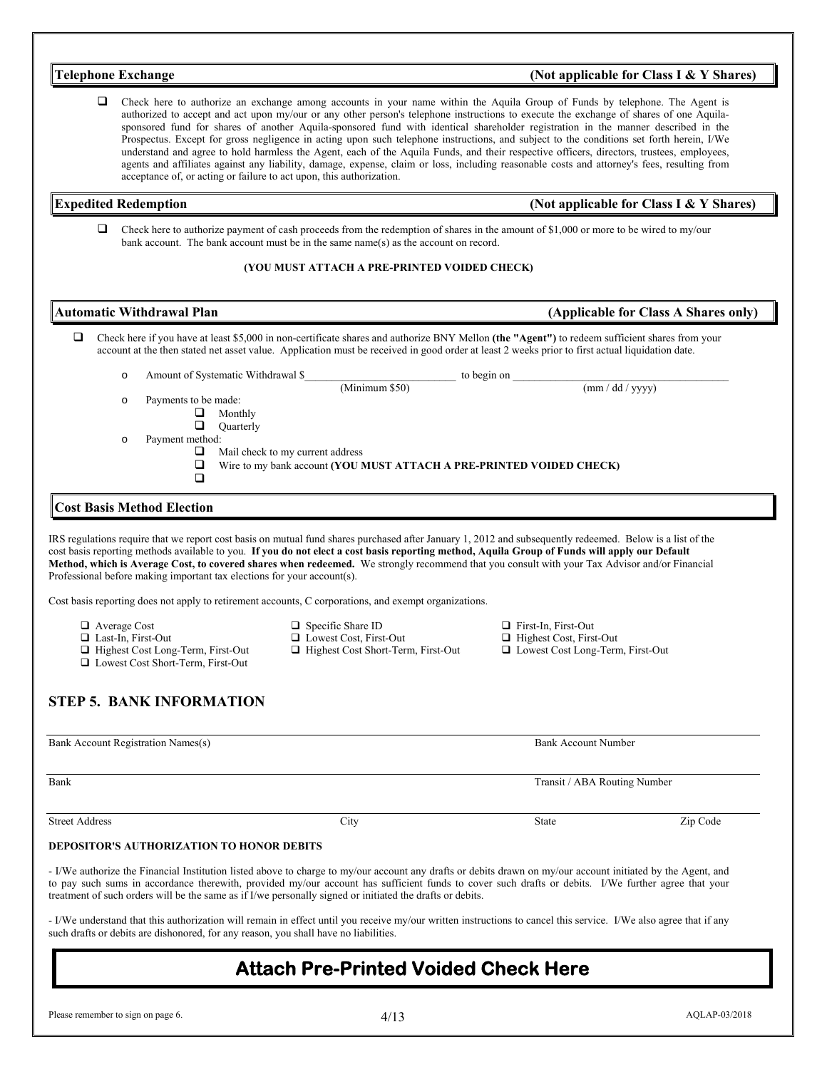| <b>Telephone Exchange</b>                                                                                                                                     |                                                                                                                                                                                                                                                                                                                                                                                                                                                                                                                                                                                                                                                                                                                                                                                                                                                    | (Not applicable for Class I & Y Shares)                                                            |                                         |  |  |
|---------------------------------------------------------------------------------------------------------------------------------------------------------------|----------------------------------------------------------------------------------------------------------------------------------------------------------------------------------------------------------------------------------------------------------------------------------------------------------------------------------------------------------------------------------------------------------------------------------------------------------------------------------------------------------------------------------------------------------------------------------------------------------------------------------------------------------------------------------------------------------------------------------------------------------------------------------------------------------------------------------------------------|----------------------------------------------------------------------------------------------------|-----------------------------------------|--|--|
| Q<br>acceptance of, or acting or failure to act upon, this authorization.                                                                                     | Check here to authorize an exchange among accounts in your name within the Aquila Group of Funds by telephone. The Agent is<br>authorized to accept and act upon my/our or any other person's telephone instructions to execute the exchange of shares of one Aquila-<br>sponsored fund for shares of another Aquila-sponsored fund with identical shareholder registration in the manner described in the<br>Prospectus. Except for gross negligence in acting upon such telephone instructions, and subject to the conditions set forth herein, I/We<br>understand and agree to hold harmless the Agent, each of the Aquila Funds, and their respective officers, directors, trustees, employees,<br>agents and affiliates against any liability, damage, expense, claim or loss, including reasonable costs and attorney's fees, resulting from |                                                                                                    |                                         |  |  |
| <b>Expedited Redemption</b>                                                                                                                                   |                                                                                                                                                                                                                                                                                                                                                                                                                                                                                                                                                                                                                                                                                                                                                                                                                                                    |                                                                                                    | (Not applicable for Class I & Y Shares) |  |  |
| □                                                                                                                                                             | Check here to authorize payment of cash proceeds from the redemption of shares in the amount of \$1,000 or more to be wired to my/our<br>bank account. The bank account must be in the same name(s) as the account on record.                                                                                                                                                                                                                                                                                                                                                                                                                                                                                                                                                                                                                      |                                                                                                    |                                         |  |  |
|                                                                                                                                                               | (YOU MUST ATTACH A PRE-PRINTED VOIDED CHECK)                                                                                                                                                                                                                                                                                                                                                                                                                                                                                                                                                                                                                                                                                                                                                                                                       |                                                                                                    |                                         |  |  |
| <b>Automatic Withdrawal Plan</b>                                                                                                                              |                                                                                                                                                                                                                                                                                                                                                                                                                                                                                                                                                                                                                                                                                                                                                                                                                                                    |                                                                                                    | (Applicable for Class A Shares only)    |  |  |
| ❏                                                                                                                                                             | Check here if you have at least \$5,000 in non-certificate shares and authorize BNY Mellon (the "Agent") to redeem sufficient shares from your<br>account at the then stated net asset value. Application must be received in good order at least 2 weeks prior to first actual liquidation date.                                                                                                                                                                                                                                                                                                                                                                                                                                                                                                                                                  |                                                                                                    |                                         |  |  |
| $\circ$                                                                                                                                                       |                                                                                                                                                                                                                                                                                                                                                                                                                                                                                                                                                                                                                                                                                                                                                                                                                                                    |                                                                                                    |                                         |  |  |
| Payments to be made:<br>$\circ$<br>⊔<br>Monthly<br>$\Box$<br>Quarterly<br>Payment method:<br>$\circ$<br>⊔<br>❏<br>$\Box$<br><b>Cost Basis Method Election</b> | Mail check to my current address<br>Wire to my bank account (YOU MUST ATTACH A PRE-PRINTED VOIDED CHECK)                                                                                                                                                                                                                                                                                                                                                                                                                                                                                                                                                                                                                                                                                                                                           |                                                                                                    | (mm / dd / yyyy)                        |  |  |
| Professional before making important tax elections for your account(s).                                                                                       | IRS regulations require that we report cost basis on mutual fund shares purchased after January 1, 2012 and subsequently redeemed. Below is a list of the<br>cost basis reporting methods available to you. If you do not elect a cost basis reporting method, Aquila Group of Funds will apply our Default<br>Method, which is Average Cost, to covered shares when redeemed. We strongly recommend that you consult with your Tax Advisor and/or Financial                                                                                                                                                                                                                                                                                                                                                                                       |                                                                                                    |                                         |  |  |
|                                                                                                                                                               | Cost basis reporting does not apply to retirement accounts, C corporations, and exempt organizations.                                                                                                                                                                                                                                                                                                                                                                                                                                                                                                                                                                                                                                                                                                                                              |                                                                                                    |                                         |  |  |
| □ Average Cost<br>$\Box$ Last-In, First-Out<br>Highest Cost Long-Term, First-Out<br>□ Lowest Cost Short-Term, First-Out                                       | $\Box$ Specific Share ID<br>$\Box$ Lowest Cost, First-Out<br>□ Highest Cost Short-Term, First-Out                                                                                                                                                                                                                                                                                                                                                                                                                                                                                                                                                                                                                                                                                                                                                  | $\Box$ First-In, First-Out<br>$\Box$ Highest Cost, First-Out<br>□ Lowest Cost Long-Term, First-Out |                                         |  |  |
| <b>STEP 5. BANK INFORMATION</b>                                                                                                                               |                                                                                                                                                                                                                                                                                                                                                                                                                                                                                                                                                                                                                                                                                                                                                                                                                                                    |                                                                                                    |                                         |  |  |
| Bank Account Registration Names(s)                                                                                                                            |                                                                                                                                                                                                                                                                                                                                                                                                                                                                                                                                                                                                                                                                                                                                                                                                                                                    | <b>Bank Account Number</b>                                                                         |                                         |  |  |
| Bank                                                                                                                                                          |                                                                                                                                                                                                                                                                                                                                                                                                                                                                                                                                                                                                                                                                                                                                                                                                                                                    | Transit / ABA Routing Number                                                                       |                                         |  |  |
| <b>Street Address</b>                                                                                                                                         | City                                                                                                                                                                                                                                                                                                                                                                                                                                                                                                                                                                                                                                                                                                                                                                                                                                               | State                                                                                              | Zip Code                                |  |  |
| <b>DEPOSITOR'S AUTHORIZATION TO HONOR DEBITS</b>                                                                                                              |                                                                                                                                                                                                                                                                                                                                                                                                                                                                                                                                                                                                                                                                                                                                                                                                                                                    |                                                                                                    |                                         |  |  |
|                                                                                                                                                               | - I/We authorize the Financial Institution listed above to charge to my/our account any drafts or debits drawn on my/our account initiated by the Agent, and<br>to pay such sums in accordance therewith, provided my/our account has sufficient funds to cover such drafts or debits. I/We further agree that your<br>treatment of such orders will be the same as if I/we personally signed or initiated the drafts or debits.                                                                                                                                                                                                                                                                                                                                                                                                                   |                                                                                                    |                                         |  |  |

- I/We understand that this authorization will remain in effect until you receive my/our written instructions to cancel this service. I/We also agree that if any such drafts or debits are dishonored, for any reason, you shall have no liabilities.

# **Attach Pre-Printed Voided Check Here**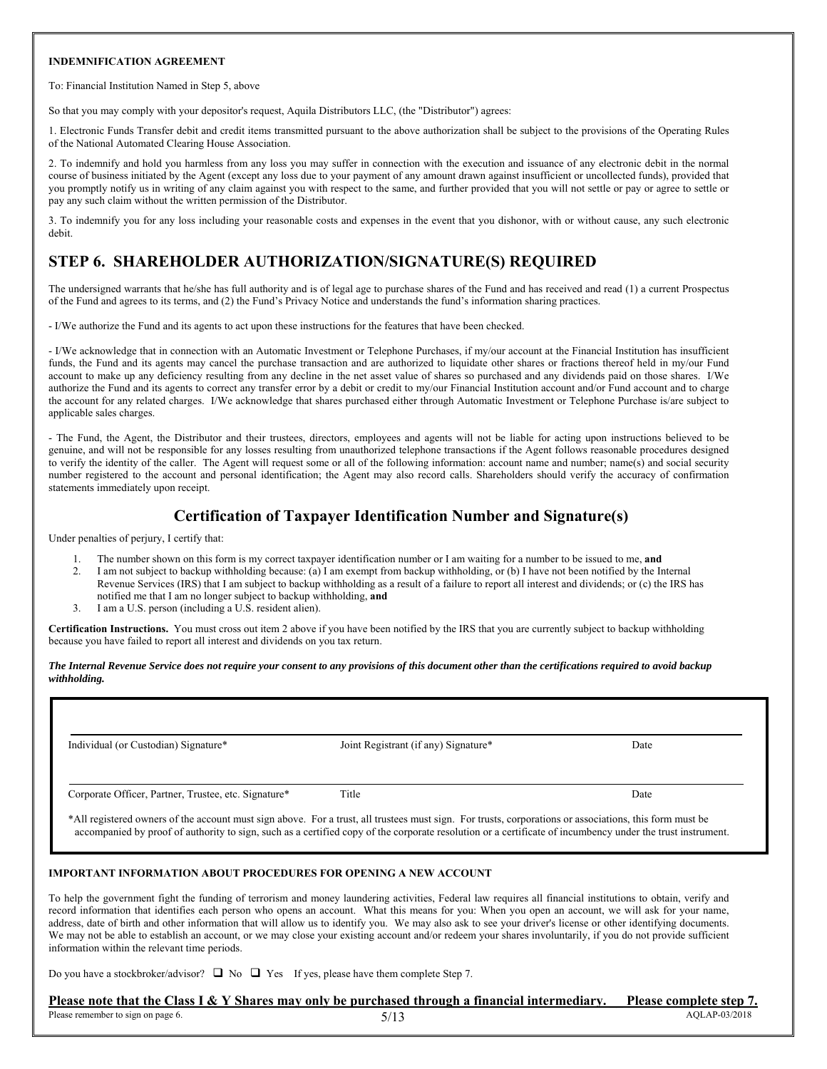#### **INDEMNIFICATION AGREEMENT**

To: Financial Institution Named in Step 5, above

So that you may comply with your depositor's request, Aquila Distributors LLC, (the "Distributor") agrees:

1. Electronic Funds Transfer debit and credit items transmitted pursuant to the above authorization shall be subject to the provisions of the Operating Rules of the National Automated Clearing House Association.

2. To indemnify and hold you harmless from any loss you may suffer in connection with the execution and issuance of any electronic debit in the normal course of business initiated by the Agent (except any loss due to your payment of any amount drawn against insufficient or uncollected funds), provided that you promptly notify us in writing of any claim against you with respect to the same, and further provided that you will not settle or pay or agree to settle or pay any such claim without the written permission of the Distributor.

3. To indemnify you for any loss including your reasonable costs and expenses in the event that you dishonor, with or without cause, any such electronic debit.

# **STEP 6. SHAREHOLDER AUTHORIZATION/SIGNATURE(S) REQUIRED**

The undersigned warrants that he/she has full authority and is of legal age to purchase shares of the Fund and has received and read (1) a current Prospectus of the Fund and agrees to its terms, and (2) the Fund's Privacy Notice and understands the fund's information sharing practices.

- I/We authorize the Fund and its agents to act upon these instructions for the features that have been checked.

- I/We acknowledge that in connection with an Automatic Investment or Telephone Purchases, if my/our account at the Financial Institution has insufficient funds, the Fund and its agents may cancel the purchase transaction and are authorized to liquidate other shares or fractions thereof held in my/our Fund account to make up any deficiency resulting from any decline in the net asset value of shares so purchased and any dividends paid on those shares. I/We authorize the Fund and its agents to correct any transfer error by a debit or credit to my/our Financial Institution account and/or Fund account and to charge the account for any related charges. I/We acknowledge that shares purchased either through Automatic Investment or Telephone Purchase is/are subject to applicable sales charges.

- The Fund, the Agent, the Distributor and their trustees, directors, employees and agents will not be liable for acting upon instructions believed to be genuine, and will not be responsible for any losses resulting from unauthorized telephone transactions if the Agent follows reasonable procedures designed to verify the identity of the caller. The Agent will request some or all of the following information: account name and number; name(s) and social security number registered to the account and personal identification; the Agent may also record calls. Shareholders should verify the accuracy of confirmation statements immediately upon receipt.

# **Certification of Taxpayer Identification Number and Signature(s)**

Under penalties of perjury, I certify that:

- 1. The number shown on this form is my correct taxpayer identification number or I am waiting for a number to be issued to me, **and**
- 2. I am not subject to backup withholding because: (a) I am exempt from backup withholding, or (b) I have not been notified by the Internal Revenue Services (IRS) that I am subject to backup withholding as a result of a failure to report all interest and dividends; or (c) the IRS has notified me that I am no longer subject to backup withholding, **and**
- 3. I am a U.S. person (including a U.S. resident alien).

**Certification Instructions.** You must cross out item 2 above if you have been notified by the IRS that you are currently subject to backup withholding because you have failed to report all interest and dividends on you tax return.

#### *The Internal Revenue Service does not require your consent to any provisions of this document other than the certifications required to avoid backup withholding.*

| Joint Registrant (if any) Signature* | Date |
|--------------------------------------|------|
| Title                                | Date |
|                                      |      |

#### **IMPORTANT INFORMATION ABOUT PROCEDURES FOR OPENING A NEW ACCOUNT**

To help the government fight the funding of terrorism and money laundering activities, Federal law requires all financial institutions to obtain, verify and record information that identifies each person who opens an account. What this means for you: When you open an account, we will ask for your name, address, date of birth and other information that will allow us to identify you. We may also ask to see your driver's license or other identifying documents. We may not be able to establish an account, or we may close your existing account and/or redeem your shares involuntarily, if you do not provide sufficient information within the relevant time periods.

Do you have a stockbroker/advisor?  $\Box$  No  $\Box$  Yes If yes, please have them complete Step 7.

#### Please remember to sign on page 6.  $5/13$  AQLAP-03/2018 Please note that the Class I & Y Shares may only be purchased through a financial intermediary. Please complete step 7.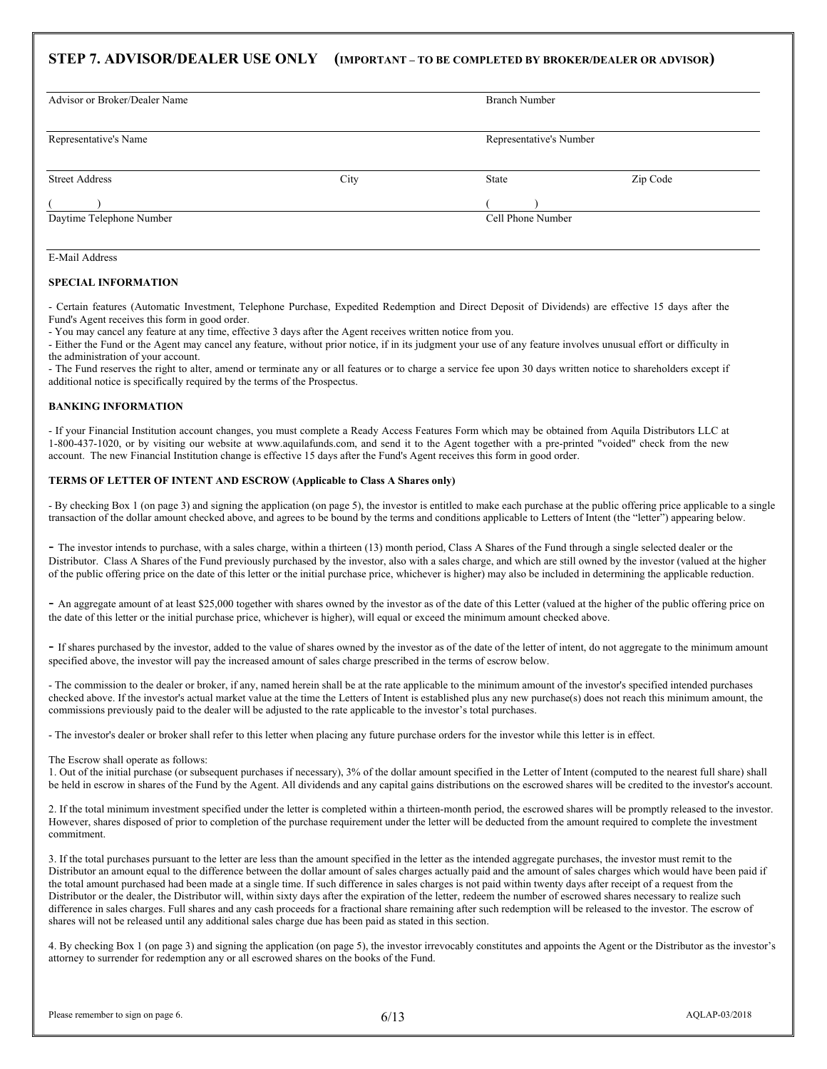# **STEP 7. ADVISOR/DEALER USE ONLY (IMPORTANT – TO BE COMPLETED BY BROKER/DEALER OR ADVISOR)**

| Advisor or Broker/Dealer Name |      | <b>Branch Number</b>    |          |  |
|-------------------------------|------|-------------------------|----------|--|
| Representative's Name         |      | Representative's Number |          |  |
| <b>Street Address</b>         | City | State                   | Zip Code |  |
| Daytime Telephone Number      |      | Cell Phone Number       |          |  |

#### E-Mail Address

#### **SPECIAL INFORMATION**

- Certain features (Automatic Investment, Telephone Purchase, Expedited Redemption and Direct Deposit of Dividends) are effective 15 days after the Fund's Agent receives this form in good order.

- You may cancel any feature at any time, effective 3 days after the Agent receives written notice from you.

- Either the Fund or the Agent may cancel any feature, without prior notice, if in its judgment your use of any feature involves unusual effort or difficulty in the administration of your account.

- The Fund reserves the right to alter, amend or terminate any or all features or to charge a service fee upon 30 days written notice to shareholders except if additional notice is specifically required by the terms of the Prospectus.

#### **BANKING INFORMATION**

- If your Financial Institution account changes, you must complete a Ready Access Features Form which may be obtained from Aquila Distributors LLC at 1-800-437-1020, or by visiting our website at www.aquilafunds.com, and send it to the Agent together with a pre-printed "voided" check from the new account. The new Financial Institution change is effective 15 days after the Fund's Agent receives this form in good order.

#### **TERMS OF LETTER OF INTENT AND ESCROW (Applicable to Class A Shares only)**

- By checking Box 1 (on page 3) and signing the application (on page 5), the investor is entitled to make each purchase at the public offering price applicable to a single transaction of the dollar amount checked above, and agrees to be bound by the terms and conditions applicable to Letters of Intent (the "letter") appearing below.

- The investor intends to purchase, with a sales charge, within a thirteen (13) month period, Class A Shares of the Fund through a single selected dealer or the Distributor. Class A Shares of the Fund previously purchased by the investor, also with a sales charge, and which are still owned by the investor (valued at the higher of the public offering price on the date of this letter or the initial purchase price, whichever is higher) may also be included in determining the applicable reduction.

- An aggregate amount of at least \$25,000 together with shares owned by the investor as of the date of this Letter (valued at the higher of the public offering price on the date of this letter or the initial purchase price, whichever is higher), will equal or exceed the minimum amount checked above.

- If shares purchased by the investor, added to the value of shares owned by the investor as of the date of the letter of intent, do not aggregate to the minimum amount specified above, the investor will pay the increased amount of sales charge prescribed in the terms of escrow below.

- The commission to the dealer or broker, if any, named herein shall be at the rate applicable to the minimum amount of the investor's specified intended purchases checked above. If the investor's actual market value at the time the Letters of Intent is established plus any new purchase(s) does not reach this minimum amount, the commissions previously paid to the dealer will be adjusted to the rate applicable to the investor's total purchases.

- The investor's dealer or broker shall refer to this letter when placing any future purchase orders for the investor while this letter is in effect.

#### The Escrow shall operate as follows:

1. Out of the initial purchase (or subsequent purchases if necessary), 3% of the dollar amount specified in the Letter of Intent (computed to the nearest full share) shall be held in escrow in shares of the Fund by the Agent. All dividends and any capital gains distributions on the escrowed shares will be credited to the investor's account.

2. If the total minimum investment specified under the letter is completed within a thirteen-month period, the escrowed shares will be promptly released to the investor. However, shares disposed of prior to completion of the purchase requirement under the letter will be deducted from the amount required to complete the investment commitment.

3. If the total purchases pursuant to the letter are less than the amount specified in the letter as the intended aggregate purchases, the investor must remit to the Distributor an amount equal to the difference between the dollar amount of sales charges actually paid and the amount of sales charges which would have been paid if the total amount purchased had been made at a single time. If such difference in sales charges is not paid within twenty days after receipt of a request from the Distributor or the dealer, the Distributor will, within sixty days after the expiration of the letter, redeem the number of escrowed shares necessary to realize such difference in sales charges. Full shares and any cash proceeds for a fractional share remaining after such redemption will be released to the investor. The escrow of shares will not be released until any additional sales charge due has been paid as stated in this section.

4. By checking Box 1 (on page 3) and signing the application (on page 5), the investor irrevocably constitutes and appoints the Agent or the Distributor as the investor's attorney to surrender for redemption any or all escrowed shares on the books of the Fund.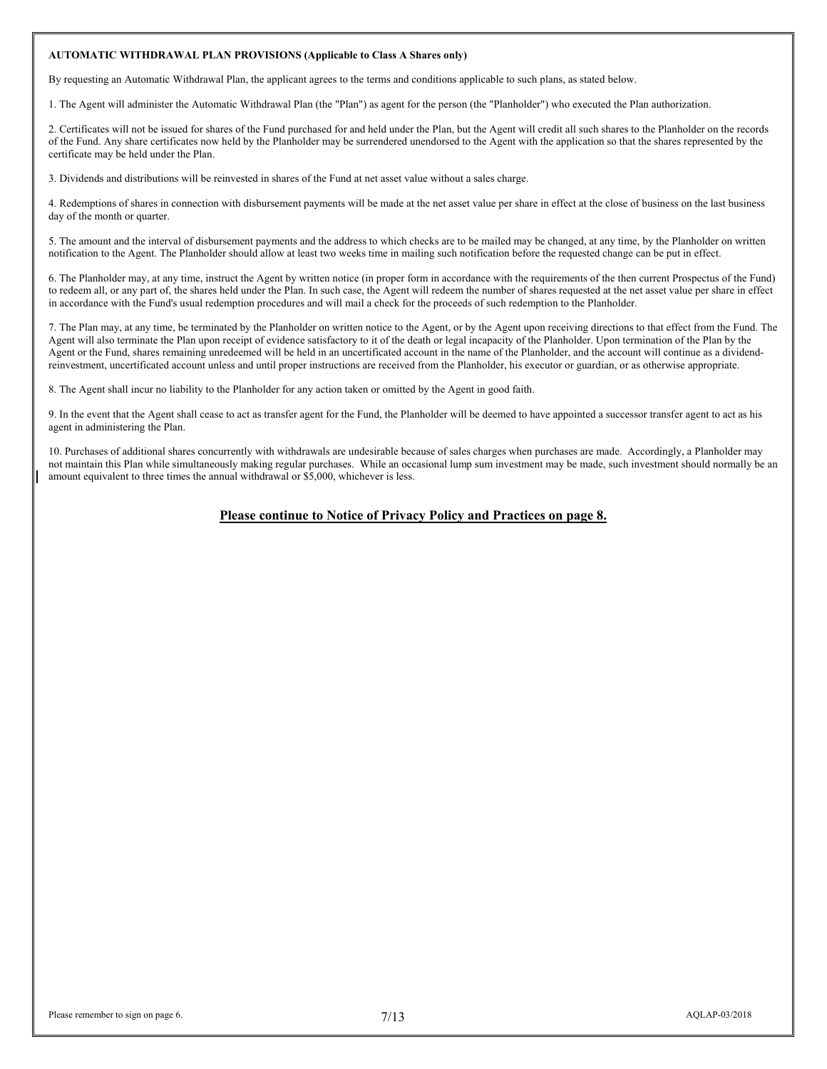### **AUTOMATIC WITHDRAWAL PLAN PROVISIONS (Applicable to Class A Shares only)**

By requesting an Automatic Withdrawal Plan, the applicant agrees to the terms and conditions applicable to such plans, as stated below.

1. The Agent will administer the Automatic Withdrawal Plan (the "Plan") as agent for the person (the "Planholder") who executed the Plan authorization.

2. Certificates will not be issued for shares of the Fund purchased for and held under the Plan, but the Agent will credit all such shares to the Planholder on the records of the Fund. Any share certificates now held by the Planholder may be surrendered unendorsed to the Agent with the application so that the shares represented by the certificate may be held under the Plan.

3. Dividends and distributions will be reinvested in shares of the Fund at net asset value without a sales charge.

4. Redemptions of shares in connection with disbursement payments will be made at the net asset value per share in effect at the close of business on the last business day of the month or quarter.

5. The amount and the interval of disbursement payments and the address to which checks are to be mailed may be changed, at any time, by the Planholder on written notification to the Agent. The Planholder should allow at least two weeks time in mailing such notification before the requested change can be put in effect.

6. The Planholder may, at any time, instruct the Agent by written notice (in proper form in accordance with the requirements of the then current Prospectus of the Fund) to redeem all, or any part of, the shares held under the Plan. In such case, the Agent will redeem the number of shares requested at the net asset value per share in effect in accordance with the Fund's usual redemption procedures and will mail a check for the proceeds of such redemption to the Planholder.

7. The Plan may, at any time, be terminated by the Planholder on written notice to the Agent, or by the Agent upon receiving directions to that effect from the Fund. The Agent will also terminate the Plan upon receipt of evidence satisfactory to it of the death or legal incapacity of the Planholder. Upon termination of the Plan by the Agent or the Fund, shares remaining unredeemed will be held in an uncertificated account in the name of the Planholder, and the account will continue as a dividendreinvestment, uncertificated account unless and until proper instructions are received from the Planholder, his executor or guardian, or as otherwise appropriate.

8. The Agent shall incur no liability to the Planholder for any action taken or omitted by the Agent in good faith.

9. In the event that the Agent shall cease to act as transfer agent for the Fund, the Planholder will be deemed to have appointed a successor transfer agent to act as his agent in administering the Plan.

10. Purchases of additional shares concurrently with withdrawals are undesirable because of sales charges when purchases are made. Accordingly, a Planholder may not maintain this Plan while simultaneously making regular purchases. While an occasional lump sum investment may be made, such investment should normally be an amount equivalent to three times the annual withdrawal or \$5,000, whichever is less.

#### **Please continue to Notice of Privacy Policy and Practices on page 8.**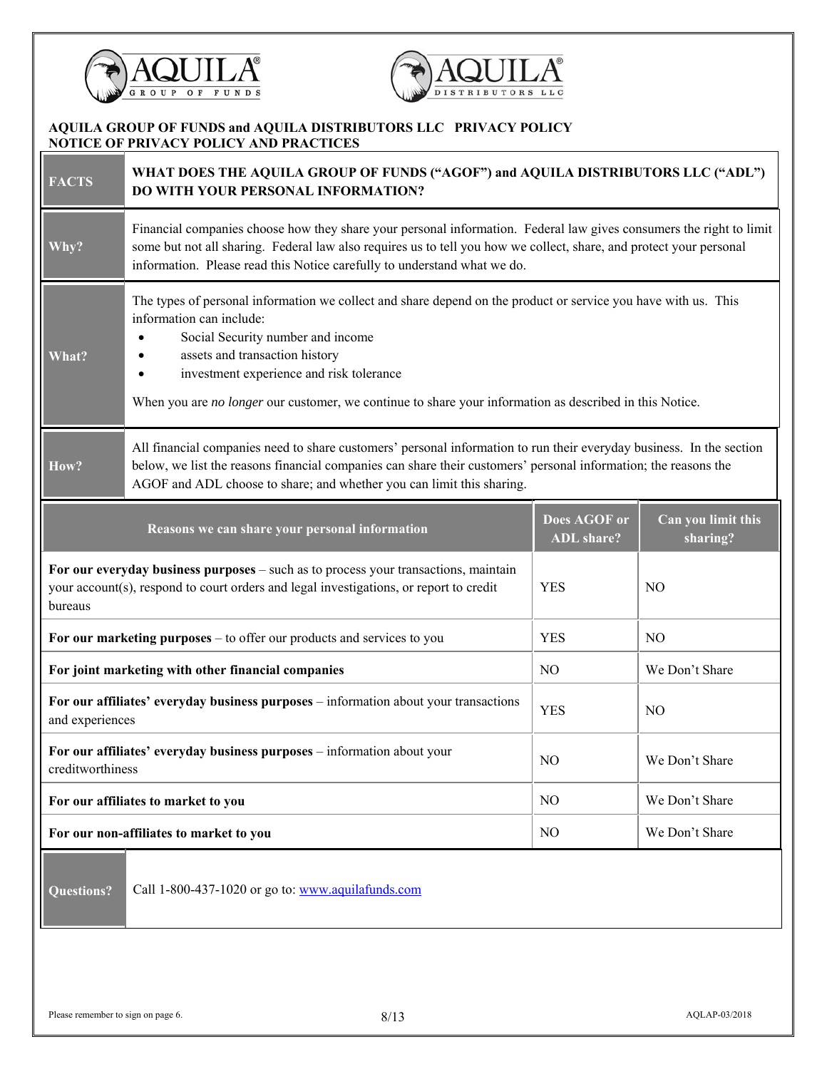



# **AQUILA GROUP OF FUNDS and AQUILA DISTRIBUTORS LLC PRIVACY POLICY NOTICE OF PRIVACY POLICY AND PRACTICES**

| <b>FACTS</b>                                                                                                          | WHAT DOES THE AQUILA GROUP OF FUNDS ("AGOF") and AQUILA DISTRIBUTORS LLC ("ADL")<br>DO WITH YOUR PERSONAL INFORMATION?                                                                                                                                                                                                                                                        |                |                |  |  |  |
|-----------------------------------------------------------------------------------------------------------------------|-------------------------------------------------------------------------------------------------------------------------------------------------------------------------------------------------------------------------------------------------------------------------------------------------------------------------------------------------------------------------------|----------------|----------------|--|--|--|
| Why?                                                                                                                  | Financial companies choose how they share your personal information. Federal law gives consumers the right to limit<br>some but not all sharing. Federal law also requires us to tell you how we collect, share, and protect your personal<br>information. Please read this Notice carefully to understand what we do.                                                        |                |                |  |  |  |
| What?                                                                                                                 | The types of personal information we collect and share depend on the product or service you have with us. This<br>information can include:<br>Social Security number and income<br>assets and transaction history<br>investment experience and risk tolerance<br>٠<br>When you are no longer our customer, we continue to share your information as described in this Notice. |                |                |  |  |  |
| How?                                                                                                                  | All financial companies need to share customers' personal information to run their everyday business. In the section<br>below, we list the reasons financial companies can share their customers' personal information; the reasons the<br>AGOF and ADL choose to share; and whether you can limit this sharing.                                                              |                |                |  |  |  |
| Does AGOF or<br>Can you limit this<br>Reasons we can share your personal information<br><b>ADL</b> share?<br>sharing? |                                                                                                                                                                                                                                                                                                                                                                               |                |                |  |  |  |
| bureaus                                                                                                               | For our everyday business purposes - such as to process your transactions, maintain<br>your account(s), respond to court orders and legal investigations, or report to credit<br><b>YES</b><br>N <sub>O</sub>                                                                                                                                                                 |                |                |  |  |  |
|                                                                                                                       | For our marketing purposes – to offer our products and services to you                                                                                                                                                                                                                                                                                                        | <b>YES</b>     | N <sub>O</sub> |  |  |  |
|                                                                                                                       | For joint marketing with other financial companies                                                                                                                                                                                                                                                                                                                            | N <sub>O</sub> | We Don't Share |  |  |  |
|                                                                                                                       | For our affiliates' everyday business purposes - information about your transactions<br><b>YES</b><br>N <sub>O</sub><br>and experiences                                                                                                                                                                                                                                       |                |                |  |  |  |
| For our affiliates' everyday business purposes - information about your<br>NO<br>We Don't Share<br>creditworthiness   |                                                                                                                                                                                                                                                                                                                                                                               |                |                |  |  |  |
| NO<br>We Don't Share<br>For our affiliates to market to you                                                           |                                                                                                                                                                                                                                                                                                                                                                               |                |                |  |  |  |
|                                                                                                                       | For our non-affiliates to market to you<br>NO<br>We Don't Share                                                                                                                                                                                                                                                                                                               |                |                |  |  |  |
| Call 1-800-437-1020 or go to: www.aquilafunds.com<br><b>Questions?</b>                                                |                                                                                                                                                                                                                                                                                                                                                                               |                |                |  |  |  |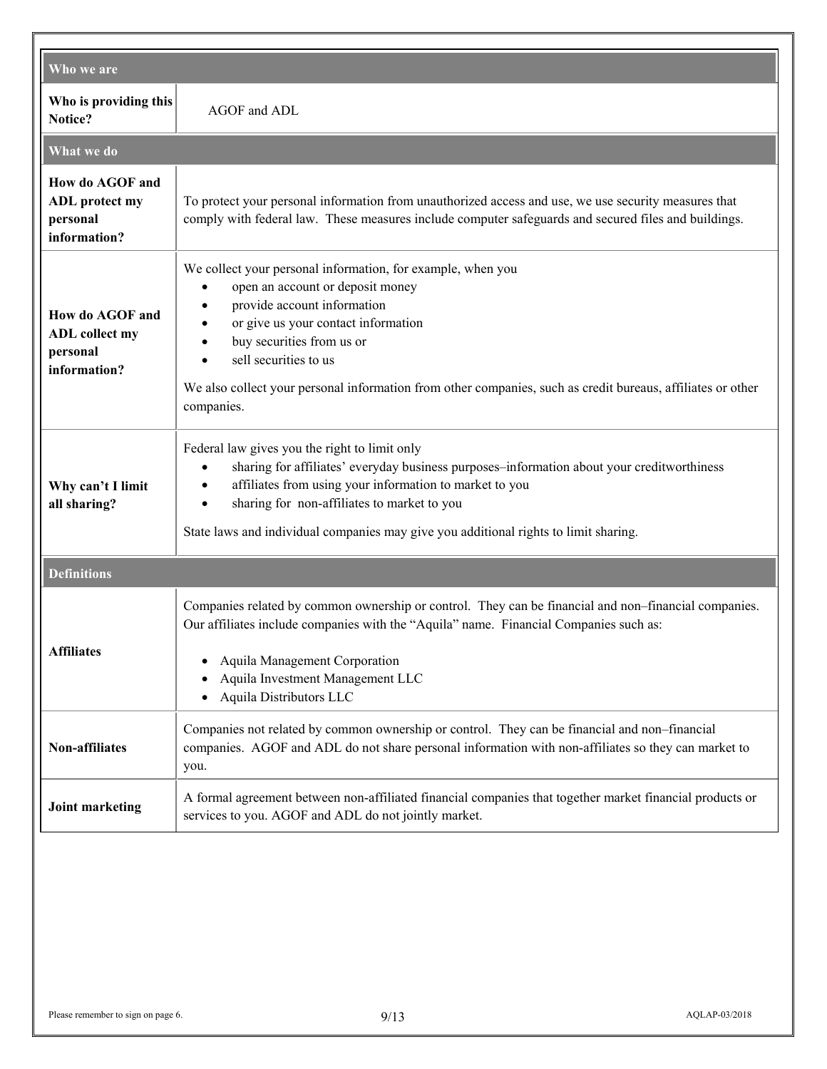| Who we are                                                           |                                                                                                                                                                                                                                                                                                                                                                                                 |  |  |  |  |
|----------------------------------------------------------------------|-------------------------------------------------------------------------------------------------------------------------------------------------------------------------------------------------------------------------------------------------------------------------------------------------------------------------------------------------------------------------------------------------|--|--|--|--|
| Who is providing this<br>Notice?                                     | AGOF and ADL                                                                                                                                                                                                                                                                                                                                                                                    |  |  |  |  |
| What we do                                                           |                                                                                                                                                                                                                                                                                                                                                                                                 |  |  |  |  |
| How do AGOF and<br><b>ADL</b> protect my<br>personal<br>information? | To protect your personal information from unauthorized access and use, we use security measures that<br>comply with federal law. These measures include computer safeguards and secured files and buildings.                                                                                                                                                                                    |  |  |  |  |
| How do AGOF and<br><b>ADL</b> collect my<br>personal<br>information? | We collect your personal information, for example, when you<br>open an account or deposit money<br>$\bullet$<br>provide account information<br>$\bullet$<br>or give us your contact information<br>buy securities from us or<br>sell securities to us<br>$\bullet$<br>We also collect your personal information from other companies, such as credit bureaus, affiliates or other<br>companies. |  |  |  |  |
| Why can't I limit<br>all sharing?                                    | Federal law gives you the right to limit only<br>sharing for affiliates' everyday business purposes-information about your creditworthiness<br>$\bullet$<br>affiliates from using your information to market to you<br>$\bullet$<br>sharing for non-affiliates to market to you<br>$\bullet$<br>State laws and individual companies may give you additional rights to limit sharing.            |  |  |  |  |
| <b>Definitions</b>                                                   |                                                                                                                                                                                                                                                                                                                                                                                                 |  |  |  |  |
| Affiliates                                                           | Companies related by common ownership or control. They can be financial and non-financial companies.<br>Our affiliates include companies with the "Aquila" name. Financial Companies such as:<br>Aquila Management Corporation<br>Aquila Investment Management LLC<br>Aquila Distributors LLC                                                                                                   |  |  |  |  |
| Non-affiliates                                                       | Companies not related by common ownership or control. They can be financial and non-financial<br>companies. AGOF and ADL do not share personal information with non-affiliates so they can market to<br>you.                                                                                                                                                                                    |  |  |  |  |
| <b>Joint marketing</b>                                               | A formal agreement between non-affiliated financial companies that together market financial products or<br>services to you. AGOF and ADL do not jointly market.                                                                                                                                                                                                                                |  |  |  |  |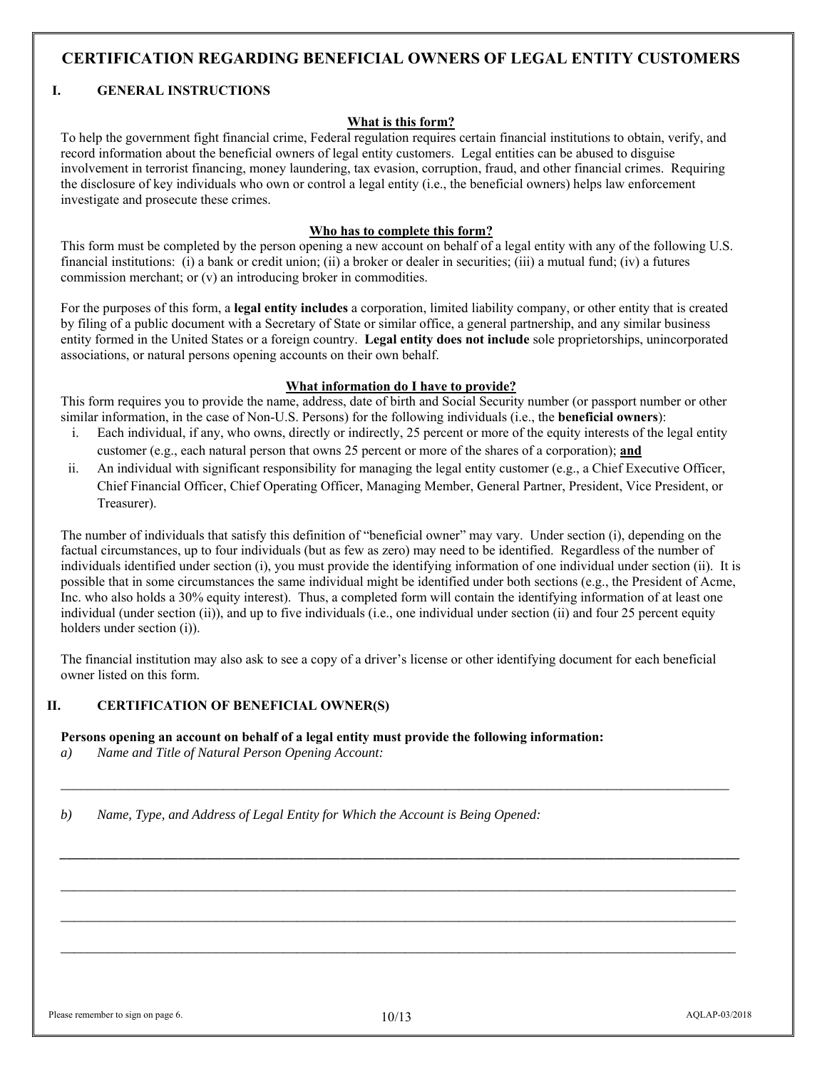# **CERTIFICATION REGARDING BENEFICIAL OWNERS OF LEGAL ENTITY CUSTOMERS**

## **I. GENERAL INSTRUCTIONS**

## **What is this form?**

To help the government fight financial crime, Federal regulation requires certain financial institutions to obtain, verify, and record information about the beneficial owners of legal entity customers. Legal entities can be abused to disguise involvement in terrorist financing, money laundering, tax evasion, corruption, fraud, and other financial crimes. Requiring the disclosure of key individuals who own or control a legal entity (i.e., the beneficial owners) helps law enforcement investigate and prosecute these crimes.

## **Who has to complete this form?**

This form must be completed by the person opening a new account on behalf of a legal entity with any of the following U.S. financial institutions: (i) a bank or credit union; (ii) a broker or dealer in securities; (iii) a mutual fund; (iv) a futures commission merchant; or (v) an introducing broker in commodities.

For the purposes of this form, a **legal entity includes** a corporation, limited liability company, or other entity that is created by filing of a public document with a Secretary of State or similar office, a general partnership, and any similar business entity formed in the United States or a foreign country. **Legal entity does not include** sole proprietorships, unincorporated associations, or natural persons opening accounts on their own behalf.

# **What information do I have to provide?**

This form requires you to provide the name, address, date of birth and Social Security number (or passport number or other similar information, in the case of Non-U.S. Persons) for the following individuals (i.e., the **beneficial owners**):

- i. Each individual, if any, who owns, directly or indirectly, 25 percent or more of the equity interests of the legal entity customer (e.g., each natural person that owns 25 percent or more of the shares of a corporation); **and**
- ii. An individual with significant responsibility for managing the legal entity customer (e.g., a Chief Executive Officer, Chief Financial Officer, Chief Operating Officer, Managing Member, General Partner, President, Vice President, or Treasurer).

The number of individuals that satisfy this definition of "beneficial owner" may vary. Under section (i), depending on the factual circumstances, up to four individuals (but as few as zero) may need to be identified. Regardless of the number of individuals identified under section (i), you must provide the identifying information of one individual under section (ii). It is possible that in some circumstances the same individual might be identified under both sections (e.g., the President of Acme, Inc. who also holds a 30% equity interest). Thus, a completed form will contain the identifying information of at least one individual (under section (ii)), and up to five individuals (i.e., one individual under section (ii) and four 25 percent equity holders under section (i)).

The financial institution may also ask to see a copy of a driver's license or other identifying document for each beneficial owner listed on this form.

*\_\_\_\_\_\_\_\_\_\_\_\_\_\_\_\_\_\_\_\_\_\_\_\_\_\_\_\_\_\_\_\_\_\_\_\_\_\_\_\_\_\_\_\_\_\_\_\_\_\_\_\_\_\_\_\_\_\_\_\_\_\_\_\_\_\_\_\_\_\_\_\_\_\_\_\_\_\_\_\_\_\_\_\_\_\_\_\_\_\_\_\_\_\_\_\_\_\_\_* 

*\_\_\_\_\_\_\_\_\_\_\_\_\_\_\_\_\_\_\_\_\_\_\_\_\_\_\_\_\_\_\_\_\_\_\_\_\_\_\_\_\_\_\_\_\_\_\_\_\_\_\_\_\_\_\_\_\_\_\_\_\_\_\_\_\_\_\_\_\_\_\_\_\_\_\_\_\_\_\_\_\_\_\_\_\_\_\_\_\_\_\_\_*

*\_\_\_\_\_\_\_\_\_\_\_\_\_\_\_\_\_\_\_\_\_\_\_\_\_\_\_\_\_\_\_\_\_\_\_\_\_\_\_\_\_\_\_\_\_\_\_\_\_\_\_\_\_\_\_\_\_\_\_\_\_\_\_\_\_\_\_\_\_\_\_\_\_\_\_\_\_\_\_\_\_\_\_\_\_\_\_\_\_\_\_\_\_\_\_\_\_\_\_\_* 

*\_\_\_\_\_\_\_\_\_\_\_\_\_\_\_\_\_\_\_\_\_\_\_\_\_\_\_\_\_\_\_\_\_\_\_\_\_\_\_\_\_\_\_\_\_\_\_\_\_\_\_\_\_\_\_\_\_\_\_\_\_\_\_\_\_\_\_\_\_\_\_\_\_\_\_\_\_\_\_\_\_\_\_\_\_\_\_\_\_\_\_\_\_\_\_\_\_\_\_\_* 

*\_\_\_\_\_\_\_\_\_\_\_\_\_\_\_\_\_\_\_\_\_\_\_\_\_\_\_\_\_\_\_\_\_\_\_\_\_\_\_\_\_\_\_\_\_\_\_\_\_\_\_\_\_\_\_\_\_\_\_\_\_\_\_\_\_\_\_\_\_\_\_\_\_\_\_\_\_\_\_\_\_\_\_\_\_\_\_\_\_\_\_\_\_\_\_\_\_\_\_\_* 

# **II. CERTIFICATION OF BENEFICIAL OWNER(S)**

### **Persons opening an account on behalf of a legal entity must provide the following information:**

*a) Name and Title of Natural Person Opening Account:* 

*b) Name, Type, and Address of Legal Entity for Which the Account is Being Opened:*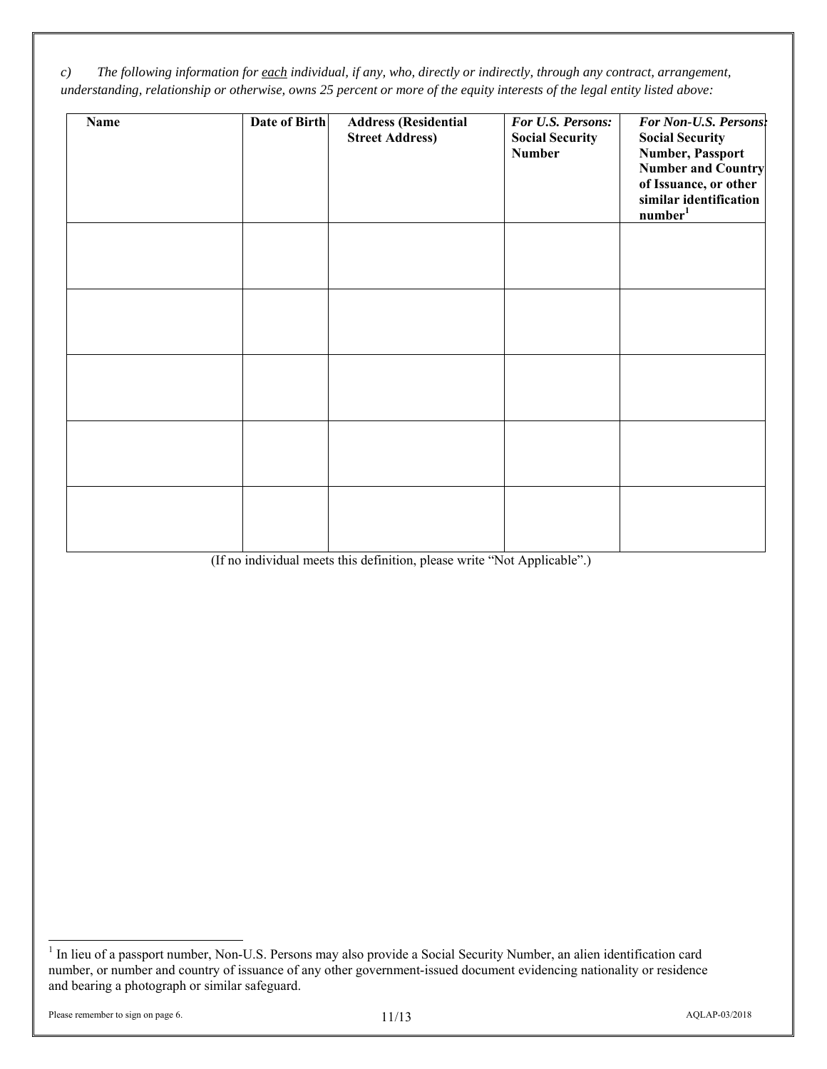*c) The following information for each individual, if any, who, directly or indirectly, through any contract, arrangement, understanding, relationship or otherwise, owns 25 percent or more of the equity interests of the legal entity listed above:* 

| <b>Name</b> | Date of Birth | <b>Address (Residential</b><br><b>Street Address)</b> | For U.S. Persons:<br><b>Social Security</b><br><b>Number</b> | For Non-U.S. Persons:<br><b>Social Security</b><br><b>Number, Passport</b><br><b>Number and Country</b><br>of Issuance, or other<br>similar identification<br>number <sup>1</sup> |
|-------------|---------------|-------------------------------------------------------|--------------------------------------------------------------|-----------------------------------------------------------------------------------------------------------------------------------------------------------------------------------|
|             |               |                                                       |                                                              |                                                                                                                                                                                   |
|             |               |                                                       |                                                              |                                                                                                                                                                                   |
|             |               |                                                       |                                                              |                                                                                                                                                                                   |
|             |               |                                                       |                                                              |                                                                                                                                                                                   |
|             |               |                                                       |                                                              |                                                                                                                                                                                   |

(If no individual meets this definition, please write "Not Applicable".) 1

<sup>&</sup>lt;sup>1</sup> In lieu of a passport number, Non-U.S. Persons may also provide a Social Security Number, an alien identification card number, or number and country of issuance of any other government-issued document evidencing nationality or residence and bearing a photograph or similar safeguard.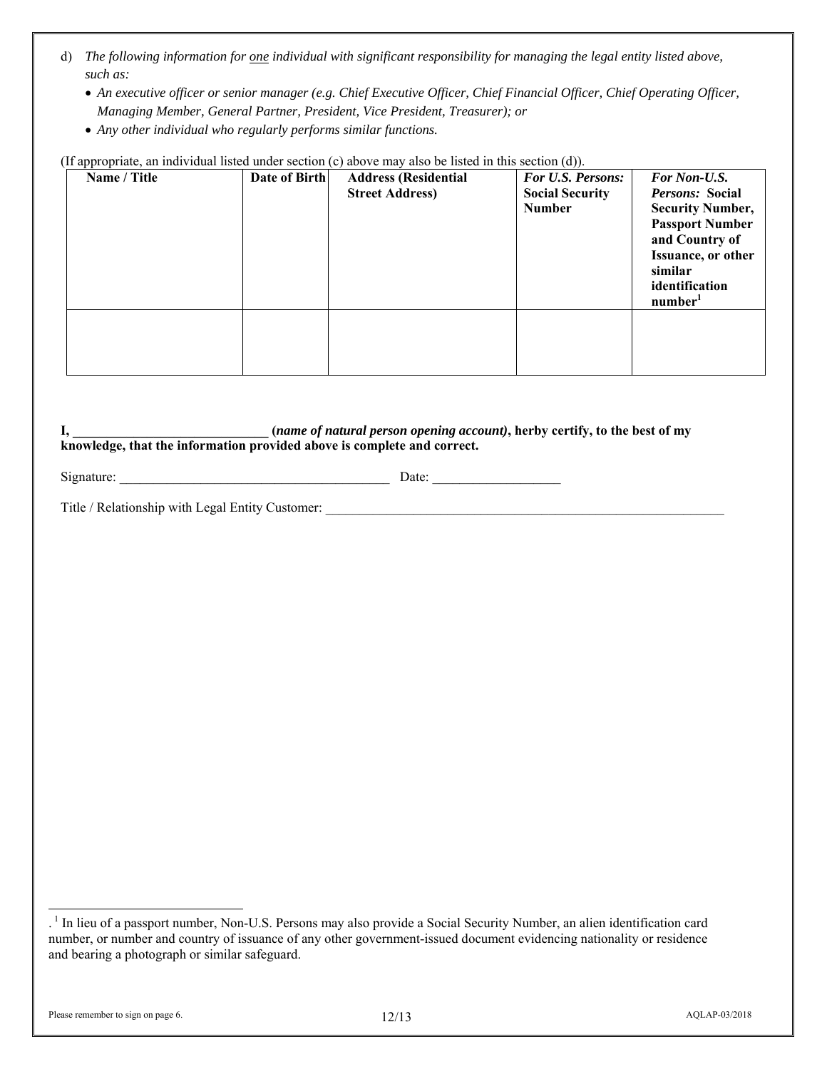- d) *The following information for one individual with significant responsibility for managing the legal entity listed above, such as:*
	- *An executive officer or senior manager (e.g. Chief Executive Officer, Chief Financial Officer, Chief Operating Officer, Managing Member, General Partner, President, Vice President, Treasurer); or*
	- *Any other individual who regularly performs similar functions.*

| (1) appropriate, an individual fisted under section (c) above may also be fisted in this section (d)). |               |                             |                          |                           |  |
|--------------------------------------------------------------------------------------------------------|---------------|-----------------------------|--------------------------|---------------------------|--|
| Name / Title                                                                                           | Date of Birth | <b>Address (Residential</b> | <b>For U.S. Persons:</b> | <b>For Non-U.S.</b>       |  |
|                                                                                                        |               | <b>Street Address)</b>      | <b>Social Security</b>   | <i>Persons:</i> Social    |  |
|                                                                                                        |               |                             | <b>Number</b>            | <b>Security Number,</b>   |  |
|                                                                                                        |               |                             |                          | <b>Passport Number</b>    |  |
|                                                                                                        |               |                             |                          | and Country of            |  |
|                                                                                                        |               |                             |                          | <b>Issuance, or other</b> |  |
|                                                                                                        |               |                             |                          | similar                   |  |
|                                                                                                        |               |                             |                          | identification            |  |
|                                                                                                        |               |                             |                          | number <sup>1</sup>       |  |
|                                                                                                        |               |                             |                          |                           |  |
|                                                                                                        |               |                             |                          |                           |  |
|                                                                                                        |               |                             |                          |                           |  |
|                                                                                                        |               |                             |                          |                           |  |

an individual listed under section  $(c)$  above may also be listed in this section  $(d)$ .

**I, \_\_\_\_\_\_\_\_\_\_\_\_\_\_\_\_\_\_\_\_\_\_\_\_\_\_\_\_\_ (***name of natural person opening account)***, herby certify, to the best of my knowledge, that the information provided above is complete and correct.**

| $\sim$<br>.ור<br>∸י≞זווויצו<br>ັ |  |
|----------------------------------|--|
|                                  |  |

Title / Relationship with Legal Entity Customer:

 $\overline{a}$ 

<sup>&</sup>lt;sup>1</sup> In lieu of a passport number, Non-U.S. Persons may also provide a Social Security Number, an alien identification card number, or number and country of issuance of any other government-issued document evidencing nationality or residence and bearing a photograph or similar safeguard.